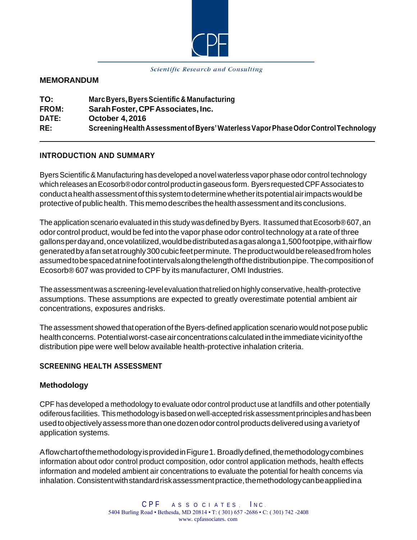

#### Scientific Research and Consulting

#### **MEMORANDUM**

| TO:          | Marc Byers, Byers Scientific & Manufacturing                                        |
|--------------|-------------------------------------------------------------------------------------|
| <b>FROM:</b> | Sarah Foster, CPF Associates, Inc.                                                  |
| DATE:        | <b>October 4, 2016</b>                                                              |
| RE:          | Screening Health Assessment of Byers' Waterless Vapor Phase Odor Control Technology |

#### **INTRODUCTION AND SUMMARY**

ByersScientific&Manufacturing has developed a novel waterless vaporphase odor control technology which releases an Ecosorb®odor control product in gaseous form. Byers requested CPF Associates to conductahealthassessmentofthissystemtodeterminewhetheritspotentialairimpactswouldbe protective ofpublichealth. Thismemo describes thehealthassessment and its conclusions.

The application scenario evaluated in this study was defined by Byers. It assumed that  $E$ cosorb $@607$ , an odor control product, would be fed into the vapor phase odor control technology at a rate of three gallonsperdayand,oncevolatilized,wouldbedistributedasagasalonga1,500footpipe,withairflow generated by a fan set at roughly 300 cubic feet per minute. The product would be released from holes assumedtobespacedatninefootintervalsalongthelengthofthedistributionpipe. Thecompositionof Ecosorb® 607 was provided to CPF by its manufacturer, OMI Industries.

The assessment was a screening-level evaluation that relied on highly conservative, health-protective assumptions. These assumptions are expected to greatly overestimate potential ambient air concentrations, exposures andrisks.

The assessment showed thatoperation of the Byers-defined application scenario would notpose public health concerns. Potential worst-case air concentrations calculated in the immediate vicinity of the distribution pipe were well below available health-protective inhalation criteria.

#### **SCREENING HEALTH ASSESSMENT**

#### **Methodology**

CPF has developed a methodology to evaluate odor control product use at landfills and other potentially odiferous facilities. Thismethodology isbasedonwell-acceptedriskassessmentprinciplesandhasbeen used to objectively assess more than one dozen odor control products delivered using a variety of application systems.

AflowchartofthemethodologyisprovidedinFigure1. Broadlydefined,themethodologycombines information about odor control product composition, odor control application methods, health effects information and modeled ambient air concentrations to evaluate the potential for health concerns via inhalation. Consistentwithstandardriskassessmentpractice,themethodologycanbeappliedina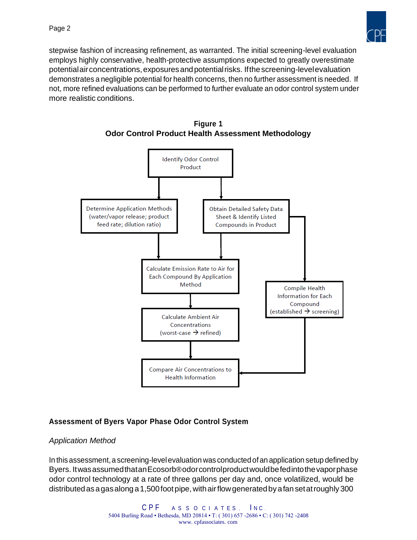

stepwise fashion of increasing refinement, as warranted. The initial screening-level evaluation employs highly conservative, health-protective assumptions expected to greatly overestimate potentialairconcentrations,exposuresandpotentialrisks. Ifthescreening-levelevaluation demonstrates a negligible potential for health concerns, then no further assessment is needed. If not, more refined evaluations can be performed to further evaluate an odor control system under more realistic conditions.





## **Assessment of Byers Vapor Phase Odor Control System**

#### *Application Method*

In this assessment, a screening-level evaluation was conducted of an application setup defined by Byers. ItwasassumedthatanEcosorb®odorcontrolproductwouldbefedintothevaporphase odor control technology at a rate of three gallons per day and, once volatilized, would be distributed as a gas along a 1,500 foot pipe, with air flow generated by a fan set at roughly 300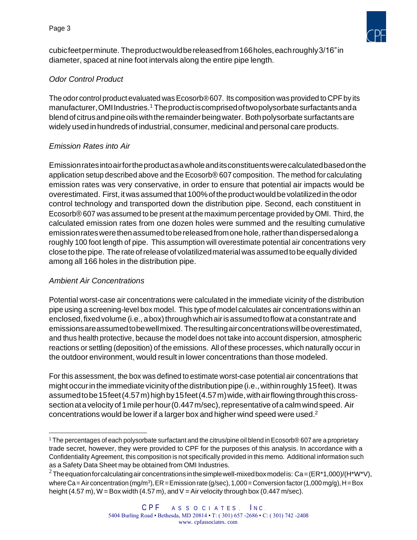

cubicfeetperminute. Theproductwouldbereleasedfrom166holes,eachroughly3/16"in diameter, spaced at nine foot intervals along the entire pipe length.

# *Odor Control Product*

The odor control product evaluated was  $E$ cosorb®607. Its composition was provided to CPF by its manufacturer, OMI Industries[.](#page-2-0)<sup>1</sup> The product is comprised of two polysorbate surfactants and a blend of citrus and pine oils with the remainder being water. Both polysorbate surfactants are widely used in hundredsof industrial, consumer, medicinal and personal care products.

## *Emission Rates into Air*

Emissionratesintoairfortheproductasawholeanditsconstituentswerecalculatedbasedonthe application setup described above and the Ecosorb® 607 composition. The method for calculating emission rates was very conservative, in order to ensure that potential air impacts would be overestimated. First, it was assumed that 100% of the product would be volatilized in the odor control technology and transported down the distribution pipe. Second, each constituent in Ecosorb® 607 was assumed to be present at the maximum percentage provided by OMI. Third, the calculated emission rates from one dozen holes were summed and the resulting cumulative emission rates were then assumed to be released from one hole, rather than dispersed along a roughly 100 foot length of pipe. This assumption will overestimate potential air concentrations very close tothe pipe. The rateofrelease of volatilizedmaterialwasassumedtobeequallydivided among all 166 holes in the distribution pipe.

## *Ambient Air Concentrations*

Potential worst-case air concentrations were calculated in the immediate vicinity of the distribution pipe using a screening-level box model. This type of model calculates air concentrations within an enclosed, fixed volume (i.e., a box) through which air is assumed to flow at a constant rate and emissionsareassumedtobewellmixed. Theresultingairconcentrationswillbeoverestimated, and thus health protective, because the model does not take into account dispersion, atmospheric reactions or settling (deposition) of the emissions. All of these processes, which naturally occur in the outdoor environment, would result in lower concentrations than those modeled.

For this assessment, the box was defined to estimate worst-case potential air concentrations that might occur in the immediate vicinity of the distribution pipe (i.e., within roughly 15 feet). It was assumed to be 15 feet (4.57 m) high by 15 feet (4.57 m) wide, with air flowing through this crosssection at a velocity of 1 mile per hour (0.447 m/sec), representative of a calm wind speed. Air concentrations would be lower if a larger box and higher wind speed were used[.](#page-2-1) $2$ 

<span id="page-2-0"></span><sup>&</sup>lt;sup>1</sup> The percentages of each polysorbate surfactant and the citrus/pine oil blend in Ecosorb® 607 are a proprietary trade secret, however, they were provided to CPF for the purposes of this analysis. In accordance with a Confidentiality Agreement, this composition is not specifically provided in this memo. Additional information such as a Safety Data Sheet may be obtained from OMI Industries.

<span id="page-2-1"></span><sup>&</sup>lt;sup>2</sup> The equation for calculating air concentrations in the simple well-mixed box model is: Ca=(ER\*1,000)/(H\*W\*V), where Ca = Air concentration (mg/m<sup>3</sup>), ER = Emission rate (g/sec), 1,000 = Conversion factor (1,000 mg/g), H = Box height (4.57 m),  $W = Box$  width (4.57 m), and  $V = Air$  velocity through box (0.447 m/sec).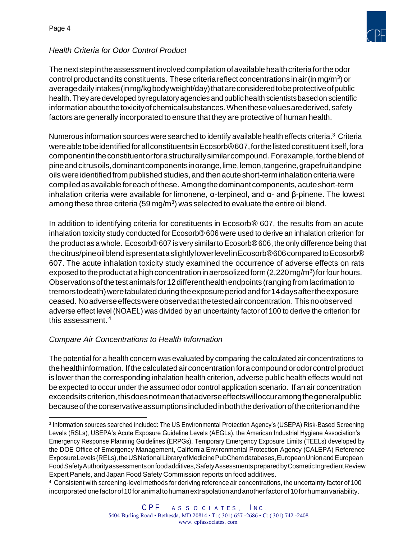

# *Health Criteria for Odor Control Product*

The next step in the assessment involved compilation of available health criteria for the odor control product and its constituents. These criteria reflect concentrations in air (in mg/m<sup>3</sup>) or averagedailyintakes(inmg/kgbodyweight/day)thatareconsideredtobeprotectiveofpublic health. They are developed by regulatory agencies and public health scientists based on scientific information about the toxicity of chemical substances. When these values are derived, safety factors are generally incorporated to ensure that they are protective of human health.

Numerous information sources were searched to identify available health effects criteria.<sup>[3](#page-3-0)</sup> Criteria were able to be identified for all constituents in Ecosorb®607, for the listed constituent itself, for a componentintheconstituentorforastructurallysimilarcompound. Forexample,fortheblendof pineandcitrusoils,dominantcomponentsinorange,lime,lemon,tangerine,grapefruitandpine oilswere identified from published studies, and thenacute short-term inhalation criteria were compiledasavailable foreachofthese. Amongthedominantcomponents, acuteshort-term inhalation criteria were available for limonene,  $\alpha$ -terpineol, and  $\alpha$ - and β-pinene. The lowest among these three criteria (59 mg/m<sup>3</sup>) was selected to evaluate the entire oil blend.

In addition to identifying criteria for constituents in Ecosorb® 607, the results from an acute inhalation toxicity study conducted for Ecosorb® 606 were used to derive an inhalation criterion for the product as a whole. Ecosorb® 607 is very similarto Ecosorb®606, the only difference being that the citrus/pine oilblend is presentata slightly lower level in Ecosorb®606 compared to Ecosorb® 607. The acute inhalation toxicity study examined the occurrence of adverse effects on rats exposed to the product at a high concentration in aerosolized form (2,220 mg/m<sup>3</sup>) for four hours. Observationsofthetestanimalsfor12differenthealth endpoints (rangingfromlacrimation to tremorstodeath)weretabulatedduringtheexposureperiodandfor14daysaftertheexposure ceased. Noadverseeffectswereobservedatthetestedair concentration. Thisnoobserved adverse effect level (NOAEL) was divided by an uncertainty factor of 100 to derive the criterion for this assessment. [4](#page-3-1)

## *Compare Air Concentrations to Health Information*

The potential for a health concern was evaluated by comparing the calculated air concentrations to the health information. If the calculated air concentration for a compound or odor control product is lower than the corresponding inhalation health criterion, adverse public health effects would not be expected to occur under the assumed odor control application scenario. If an air concentration exceedsitscriterion,thisdoesnotmeanthatadverseeffectswilloccuramongthegeneralpublic becauseoftheconservativeassumptionsincludedinboththederivationofthecriterionandthe

<span id="page-3-0"></span><sup>3</sup> Information sources searched included: The US Environmental Protection Agency's (USEPA) Risk-Based Screening Levels (RSLs), USEPA's Acute Exposure Guideline Levels (AEGLs), the American Industrial Hygiene Association's Emergency Response Planning Guidelines (ERPGs), Temporary Emergency Exposure Limits (TEELs) developed by the DOE Office of Emergency Management, California Environmental Protection Agency (CALEPA) Reference ExposureLevels(RELs), the USNational Library of Medicine PubChem databases, European Union and European FoodSafetyAuthorityassessmentsonfoodadditives,SafetyAssessmentspreparedbyCosmeticIngredientReview Expert Panels, and Japan Food Safety Commission reports on food additives.

<span id="page-3-1"></span><sup>&</sup>lt;sup>4</sup> Consistent with screening-level methods for deriving reference air concentrations, the uncertainty factor of 100 incorporated one factor of 10 for animal to human extrapolation and another factor of 10 for human variability.